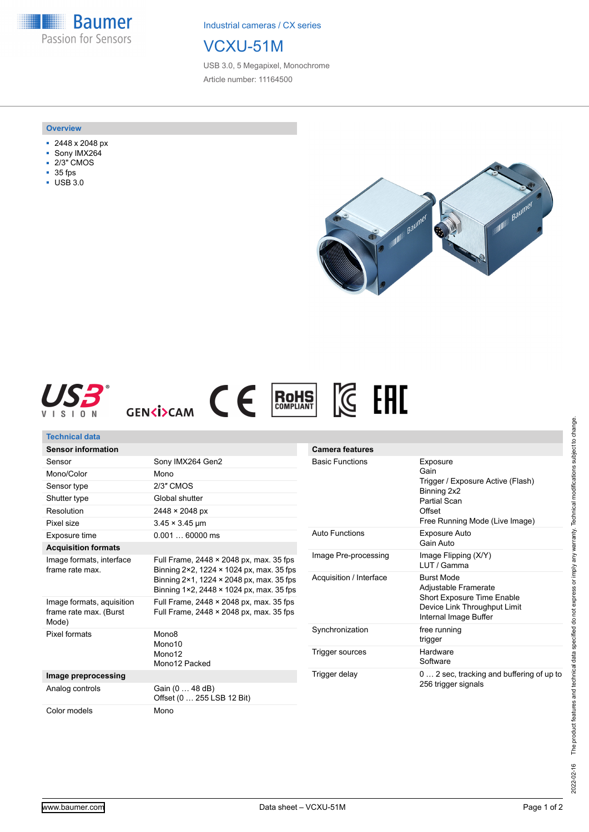**Baumer** Passion for Sensors

Industrial cameras / CX series

## VCXU-51M

USB 3.0, 5 Megapixel, Monochrome Article number: 11164500

## **Overview**

- 2448 x 2048 px
- Sony IMX264
- 2/3" CMOS
- 35 fps
- USB 3.0







| Technical data                                               |                                                                                                                                                                             |                         |                                                                                                                                  |
|--------------------------------------------------------------|-----------------------------------------------------------------------------------------------------------------------------------------------------------------------------|-------------------------|----------------------------------------------------------------------------------------------------------------------------------|
| <b>Sensor information</b>                                    |                                                                                                                                                                             | <b>Camera features</b>  |                                                                                                                                  |
| Sensor                                                       | Sony IMX264 Gen2                                                                                                                                                            | <b>Basic Functions</b>  | Exposure<br>Gain<br>Trigger / Exposure Active (Flash)<br>Binning 2x2<br>Partial Scan<br>Offset<br>Free Running Mode (Live Image) |
| Mono/Color                                                   | Mono                                                                                                                                                                        |                         |                                                                                                                                  |
| Sensor type                                                  | 2/3" CMOS                                                                                                                                                                   |                         |                                                                                                                                  |
| Shutter type                                                 | Global shutter                                                                                                                                                              |                         |                                                                                                                                  |
| Resolution                                                   | 2448 × 2048 px                                                                                                                                                              |                         |                                                                                                                                  |
| Pixel size                                                   | $3.45 \times 3.45$ µm                                                                                                                                                       |                         |                                                                                                                                  |
| Exposure time                                                | $0.00160000$ ms                                                                                                                                                             | <b>Auto Functions</b>   | Exposure Auto                                                                                                                    |
| <b>Acquisition formats</b>                                   |                                                                                                                                                                             |                         | Gain Auto                                                                                                                        |
| Image formats, interface<br>frame rate max.                  | Full Frame, 2448 × 2048 px, max. 35 fps<br>Binning 2×2, 1224 × 1024 px, max. 35 fps<br>Binning 2×1, 1224 × 2048 px, max. 35 fps<br>Binning 1×2, 2448 × 1024 px, max. 35 fps | Image Pre-processing    | Image Flipping (X/Y)<br>LUT / Gamma                                                                                              |
|                                                              |                                                                                                                                                                             | Acquisition / Interface | <b>Burst Mode</b><br>Adjustable Framerate<br>Short Exposure Time Enable<br>Device Link Throughput Limit<br>Internal Image Buffer |
| Image formats, aquisition<br>frame rate max. (Burst<br>Mode) | Full Frame, $2448 \times 2048$ px, max, 35 fps<br>Full Frame, $2448 \times 2048$ px, max, 35 fps                                                                            |                         |                                                                                                                                  |
| Pixel formats                                                | Mono <sub>8</sub><br>Mono10<br>Mono12<br>Mono12 Packed                                                                                                                      | Synchronization         | free running<br>trigger                                                                                                          |
|                                                              |                                                                                                                                                                             | Trigger sources         | Hardware<br>Software                                                                                                             |
| Image preprocessing                                          |                                                                                                                                                                             | Trigger delay           | 0  2 sec, tracking and buffering of up to                                                                                        |
| Analog controls                                              | Gain (0  48 dB)<br>Offset (0  255 LSB 12 Bit)                                                                                                                               |                         | 256 trigger signals                                                                                                              |
| Color models                                                 | Mono                                                                                                                                                                        |                         |                                                                                                                                  |